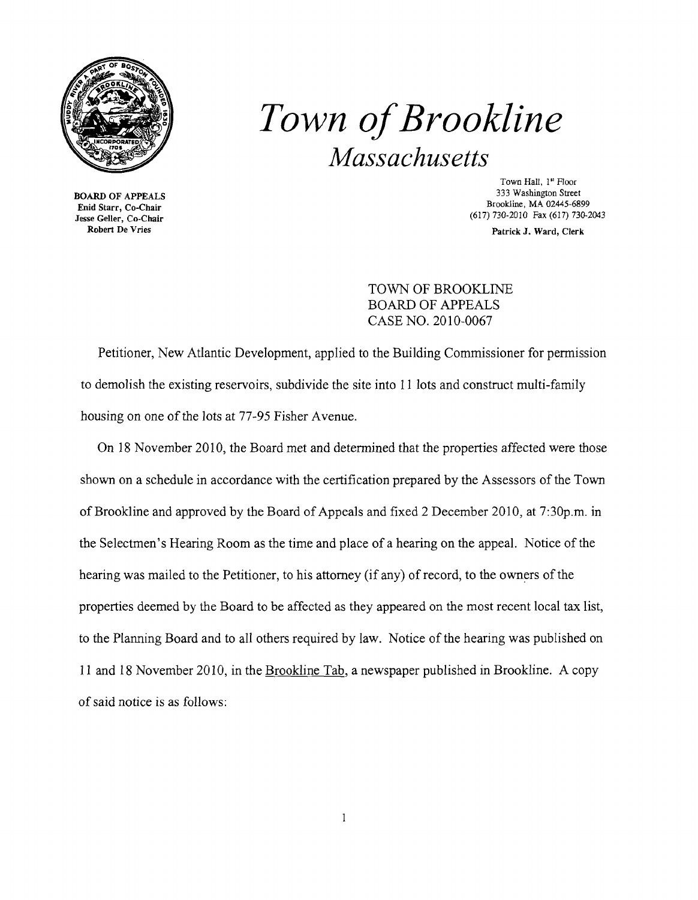

**3333 BOARD OF APPEALS**<br>**Enid Starr, Co-Chair** 

# *Town ofBrookline Massachusetts*

Town Hall, 1<sup>st</sup> Floor<br>333 Washington Street Brookline, MA 02445-6899  $\frac{1}{100}$  Jesse Geller, Co-Chair (617) 730-2010 Fax (617) 730-2043<br>Robert De Vries Patrick J. Ward Clerk

Patrick J. Ward, Clerk

TOWN OF BROOKLINE BOARD OF APPEALS CASE NO. 2010-0067

Petitioner, New Atlantic Development, applied to the Building Commissioner for permission to demolish the existing reservoirs, subdivide the site into 11 lots and construct multi-family housing on one of the lots at 77-95 Fisher Avenue.

On 18 November 2010, the Board met and determined that the properties affected were those shown on a schedule in accordance with the certification prepared by the Assessors of the Town of Brookline and approved by the Board of Appeals and fixed 2 December 2010, at 7:30p.m. in the Selectmen's Hearing Room as the time and place of a hearing on the appeal. Notice of the hearing was mailed to the Petitioner, to his attorney (if any) of record, to the owners of the properties deemed by the Board to be affected as they appeared on the most recent local tax list, to the Planning Board and to all others required by law. Notice of the hearing was published on 11 and 18 November 2010, in the Brookline Tab, a newspaper published in Brookline. A copy of said notice is as follows: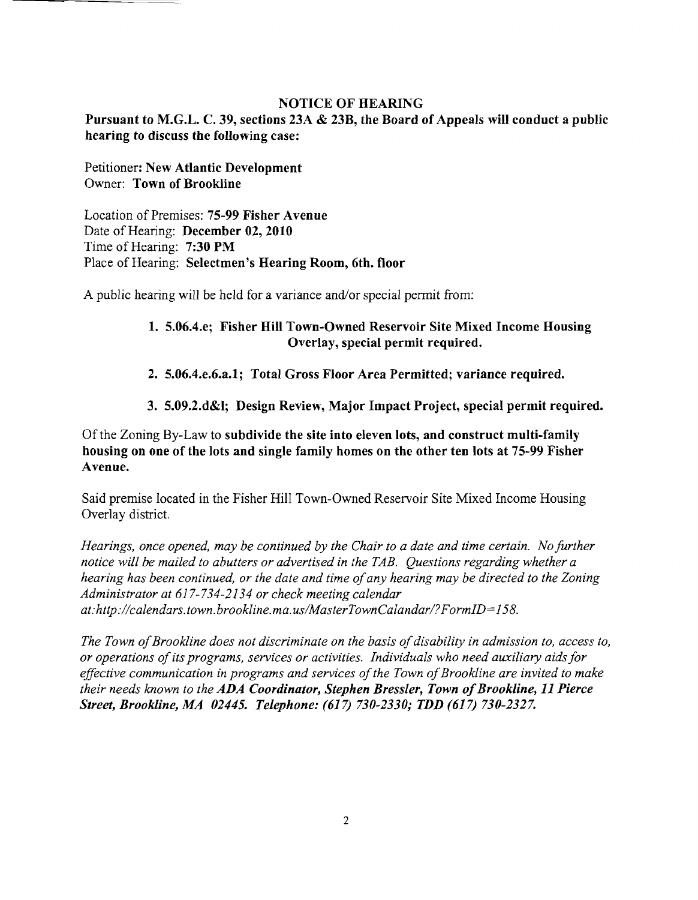#### NOTICE OF HEARING

Pursuant to M.G.L. C. 39, sections 23A & 23B, the Board of Appeals will conduct a public hearing to discuss the following case:

Petitioner: New Atlantic Development Owner: Town of Brookline

Location of Premises: 75-99 Fisher Avenue Date of Hearing: December 02, 2010 Time of Hearing: 7:30 PM Place of Hearing: Selectmen's Hearing Room, 6th. floor

A public hearing will be held for a variance and/or special permit from:

### 1. 5.06.4.e; Fisher Hill Town-Owned Reservoir Site Mixed Income Housing Overlay, special permit required.

- 2. 5.06.4.e.6.a.1; Total Gross Floor Area Permitted; variance required.
- 3. 5.09.2.d&l; Design Review, Major Impact Project, special permit required.

Ofthe Zoning By-Law to subdivide the site into eleven lots, and construct multi-family housing on one of the lots and single family homes on the other ten lots at 75-99 Fisher Avenue.

Said premise located in the Fisher Hill Town-Owned Reservoir Site Mixed Income Housing Overlay district.

*Hearings, once opened, may be continued by the Chair to a date and time certain. No further notice will be mailed to abutters or advertised in the TAB. Questions regarding whether a hearing has been continued, or the date and time ofany hearing may be directed to the Zoning Administrator at* 617-734-2134 *or check meeting calendar at:http://calendars.town.brookline.ma.usIMasterTownCalandarl?FormID=*158.

*The Town of Brookline does not discriminate on the basis of disability in admission to, access to, or operations ofits programs, services or activities. Individuals who need auxiliary aids for*  effective communication in programs and services of the Town of Brookline are invited to make *their needs known to the ADA Coordinator, Stephen Bressler, Town of Brookline, 11 Pierce Street, Brookline, MA 02445. Telephone:* (617) *730-2330; TDD* (617) *730-2327.*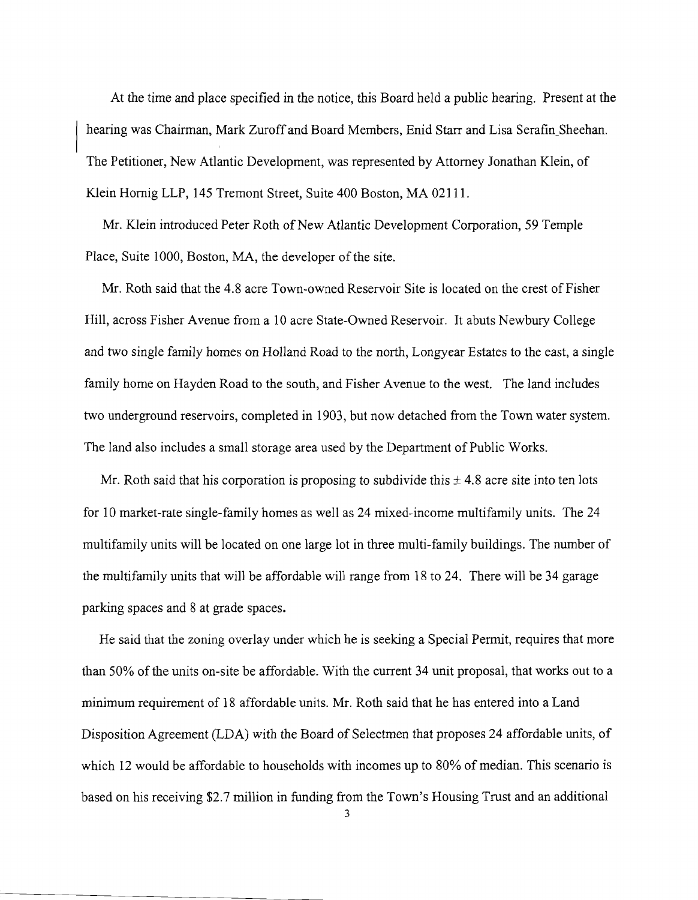At the time and place specified in the notice, this Board held a public hearing. Present at the hearing was Chairman, Mark Zuroff and Board Members, Enid Starr and Lisa Serafin\_Sheehan. The Petitioner, New Atlantic Development, was represented by Attorney Jonathan Klein, of Klein Hornig LLP, 145 Tremont Street, Suite 400 Boston, MA 02111.

Mr. Klein introduced Peter Roth of New Atlantic Development Corporation, 59 Temple Place, Suite 1000, Boston, MA, the developer of the site.

Mr. Roth said that the 4.8 acre Town-owned Reservoir Site is located on the crest of Fisher Hill, across Fisher Avenue from a 10 acre State-Owned Reservoir. It abuts Newbury College and two single family homes on Holland Road to the north, Longyear Estates to the east, a single family home on Hayden Road to the south, and Fisher Avenue to the west. The land includes two underground reservoirs, completed in 1903, but now detached from the Town water system. The land also includes a small storage area used by the Department of Public Works.

Mr. Roth said that his corporation is proposing to subdivide this  $\pm$  4.8 acre site into ten lots for 10 market-rate single-family homes as well as 24 mixed-income multifamily units. The 24 multifamily units will be located on one large lot in three multi-family buildings. The number of the multifamily units that will be affordable will range from 18 to 24. There will be 34 garage parking spaces and 8 at grade spaces.

He said that the zoning overlay under which he is seeking a Special Permit, requires that more than 50% of the units on-site be affordable. With the current 34 unit proposal, that works out to a minimum requirement of 18 affordable units. Mr. Roth said that he has entered into a Land Disposition Agreement (LDA) with the Board of Selectmen that proposes 24 affordable units, of which 12 would be affordable to households with incomes up to 80% of median. This scenario is based on his receiving \$2.7 million in funding from the Town's Housing Trust and an additional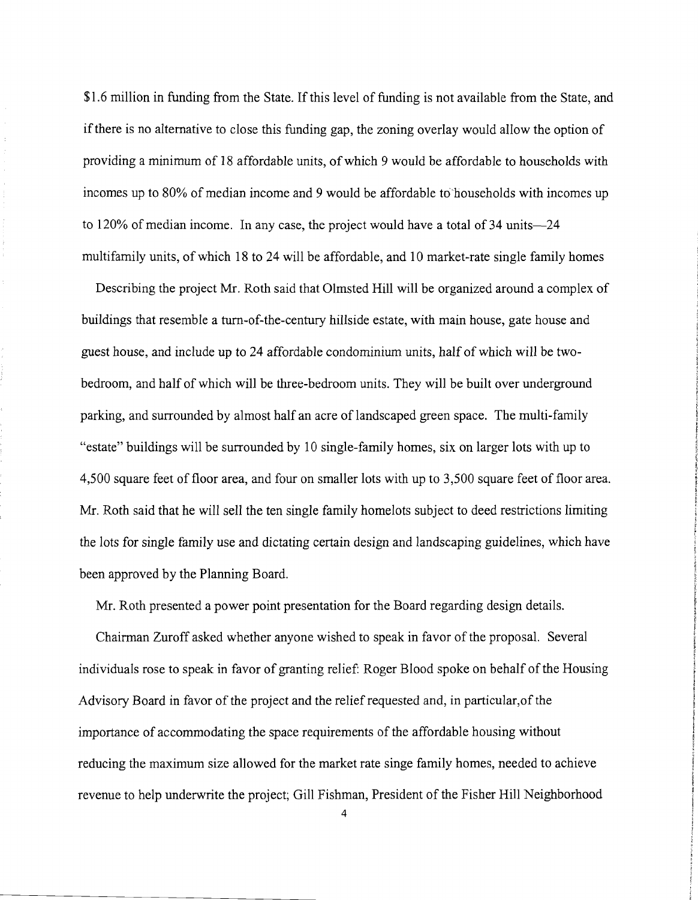\$1.6 million in funding from the State. If this level of funding is not available from the State, and ifthere is no alternative to close this funding gap, the zoning overlay would allow the option of providing a minimum of 18 affordable units, of which 9 would be affordable to households with incomes up to 80% of median income and 9 would be affordable to households with incomes up to 120% of median income. In any case, the project would have a total of 34 units-24 multifamily units, of which 18 to 24 will be affordable, and 10 market-rate single family homes

Describing the project Mr. Roth said that Olmsted Hill will be organized around a complex of buildings that resemble a turn-of-the-century hillside estate, with main house, gate house and guest house, and include up to 24 affordable condominium units, half of which will be twobedroom, and half of which will be three-bedroom units. They will be built over underground parking, and surrounded by almost half an acre of landscaped green space. The multi-family "estate" buildings will be surrounded by 10 single-family homes, six on larger lots with up to 4,500 square feet of floor area, and four on smaller lots with up to 3,500 square feet of floor area. Mr. Roth said that he will sell the ten single family homelots subject to deed restrictions limiting the lots for single family use and dictating certain design and landscaping guidelines, which have been approved by the Planning Board.

Mr. Roth presented a power point presentation for the Board regarding design details.

Chairman Zuroff asked whether anyone wished to speak in favor of the proposal. Several individuals rose to speak in favor of granting relief: Roger Blood spoke on behalf of the Housing Advisory Board in favor of the project and the relief requested and, in particular,of the importance of accommodating the space requirements of the affordable housing without reducing the maximum size allowed for the market rate singe family homes, needed to achieve revenue to help underwrite the project; Gill Fishman, President of the Fisher Hill Neighborhood

4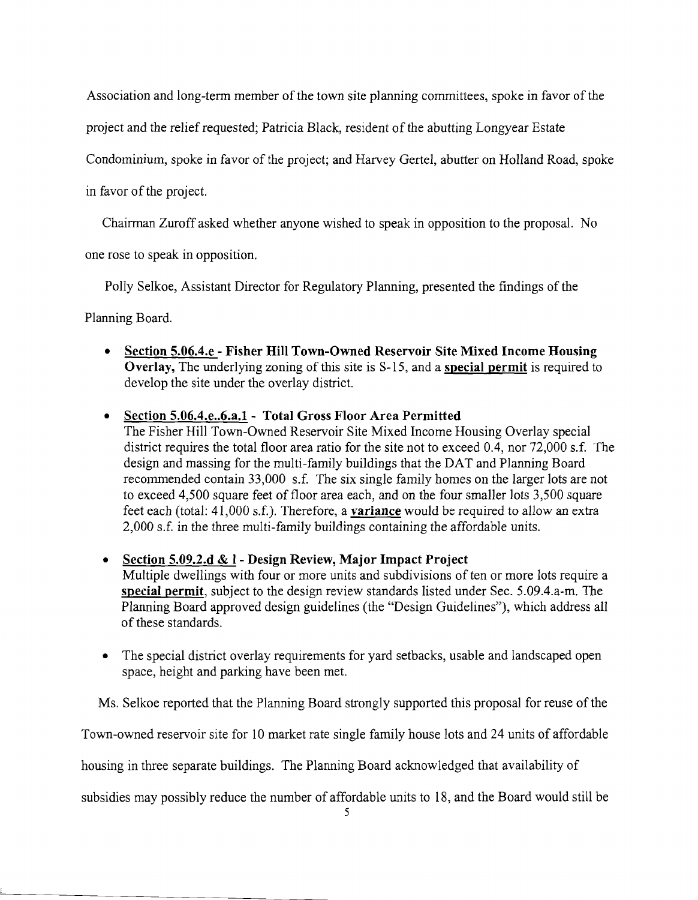Association and long-term member of the town site planning committees, spoke in favor of the

project and the relief requested; Patricia Black, resident of the abutting Longyear Estate

Condominium, spoke in favor of the project; and Harvey Gertel, abutter on Holland Road, spoke

in favor of the project.

Chairman Zuroff asked whether anyone wished to speak in opposition to the proposal. No

one rose to speak in opposition.

Polly Selkoe, Assistant Director for Regulatory Planning, presented the findings of the

Planning Board.

**• Section 5.06.4.e - Fisher Hill Town-Owned Reservoir Site Mixed Income Housing Overlay,** The underlying zoning of this site is S-15, and a **special permit** is required to develop the site under the overlay district.

# **• Section 5.06.4.e..6.a.l - Total Gross Floor Area Permitted**

The Fisher Hill Town-Owned Reservoir Site Mixed Income Housing Overlay special district requires the total floor area ratio for the site not to exceed 0.4, nor 72,000 s.f. The design and massing for the multi-family buildings that the OAT and Planning Board recommended contain 33,000 s.f. The six single family homes on the larger lots are not to exceed 4,500 square feet of floor area each, and on the four smaller lots 3,500 square feet each (total: 41,000 s.f.). Therefore, a **variance** would be required to allow an extra 2,000 s.f. in the three multi-family buildings containing the affordable units.

**• Section 5.09.2.d & I - Design Review, Major Impact Project**  Multiple dwellings with four or more units and subdivisions of ten or more lots require a

**special permit,** subject to the design review standards listed under Sec. 5.09.4.a-m. The Planning Board approved design guidelines (the "Design Guidelines"), which address all of these standards.

The special district overlay requirements for yard setbacks, usable and landscaped open space, height and parking have been met.

Ms. Selkoe reported that the Planning Board strongly supported this proposal for reuse of the

Town-owned reservoir site for 10 market rate single family house lots and 24 units of affordable

housing in three separate buildings. The Planning Board acknowledged that availability of

subsidies may possibly reduce the number of affordable units to 18, and the Board would still be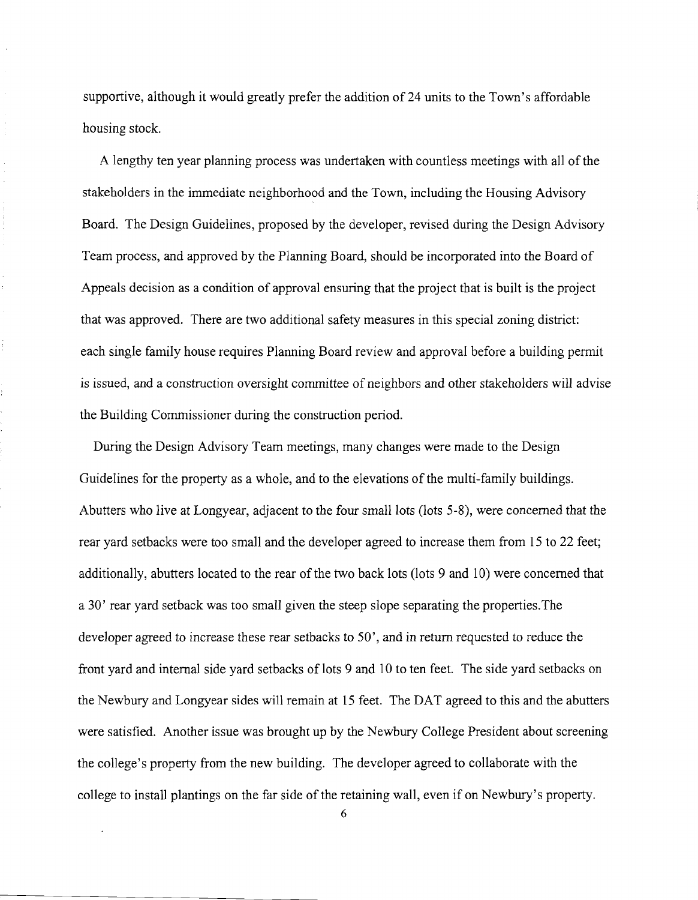supportive, although it would greatly prefer the addition of 24 units to the Town's affordable housing stock.

A lengthy ten year planning process was undertaken with countless meetings with all of the stakeholders in the immediate neighborhood and the Town, including the Housing Advisory Board. The Design Guidelines, proposed by the developer, revised during the Design Advisory Team process, and approved by the Planning Board, should be incorporated into the Board of Appeals decision as a condition of approval ensuring that the project that is built is the project that was approved. There are two additional safety measures in this special zoning district: each single family house requires Planning Board review and approval before a building permit is issued, and a construction oversight committee of neighbors and other stakeholders will advise the Building Commissioner during the construction period.

t.

During the Design Advisory Team meetings, many changes were made to the Design Guidelines for the property as a whole, and to the elevations of the multi-family buildings. Abutters who live at Longyear, adjacent to the four small lots (lots 5-8), were concerned that the rear yard setbacks were too small and the developer agreed to increase them from 15 to 22 feet; additionally, abutters located to the rear of the two back lots (lots 9 and 10) were concerned that a 30' rear yard setback was too small given the steep slope separating the properties.The developer agreed to increase these rear setbacks to 50', and in return requested to reduce the front yard and internal side yard setbacks of lots 9 and 10 to ten feet. The side yard setbacks on the Newbury and Longyear sides will remain at 15 feet. The DAT agreed to this and the abutters were satisfied. Another issue was brought up by the Newbury College President about screening the college's property from the new building. The developer agreed to collaborate with the college to install plantings on the far side of the retaining wall, even if on Newbury's property.

6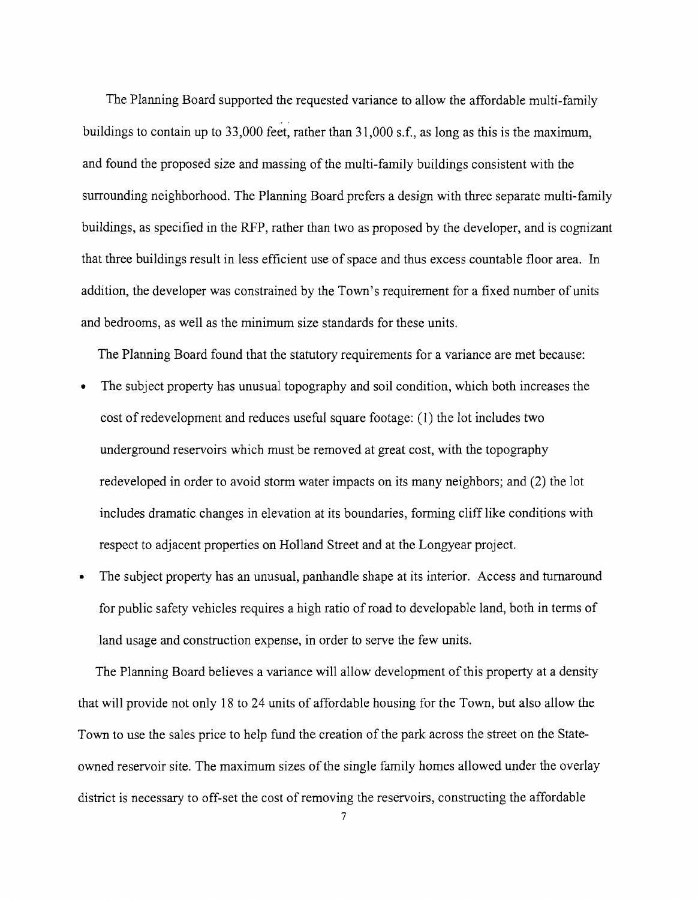The Planning Board supported the requested variance to allow the affordable multi-family buildings to contain up to 33,000 feet, rather than 31,000 s.f., as long as this is the maximum, and found the proposed size and massing of the multi-family buildings consistent with the surrounding neighborhood. The Planning Board prefers a design with three separate multi-family buildings, as specified in the RFP, rather than two as proposed by the developer, and is cognizant that three buildings result in less efficient use of space and thus excess countable floor area. In addition, the developer was constrained by the Town's requirement for a fixed number of units and bedrooms, as well as the minimum size standards for these units.

The Planning Board found that the statutory requirements for a variance are met because:

- The subject property has unusual topography and soil condition, which both increases the cost of redevelopment and reduces useful square footage: (1) the lot includes two underground reservoirs which must be removed at great cost, with the topography redeveloped in order to avoid storm water impacts on its many neighbors; and (2) the lot includes dramatic changes in elevation at its boundaries, forming cliff like conditions with respect to adjacent properties on Holland Street and at the Longyear project.
- The subject property has an unusual, panhandle shape at its interior. Access and turnaround for public safety vehicles requires a high ratio of road to developable land, both in terms of land usage and construction expense, in order to serve the few units.

The Planning Board believes a variance will allow development of this property at a density that will provide not only 18 to 24 units of affordable housing for the Town, but also allow the Town to use the sales price to help fund the creation of the park across the street on the Stateowned reservoir site. The maximum sizes of the single family homes allowed under the overlay district is necessary to off-set the cost of removing the reservoirs, constructing the affordable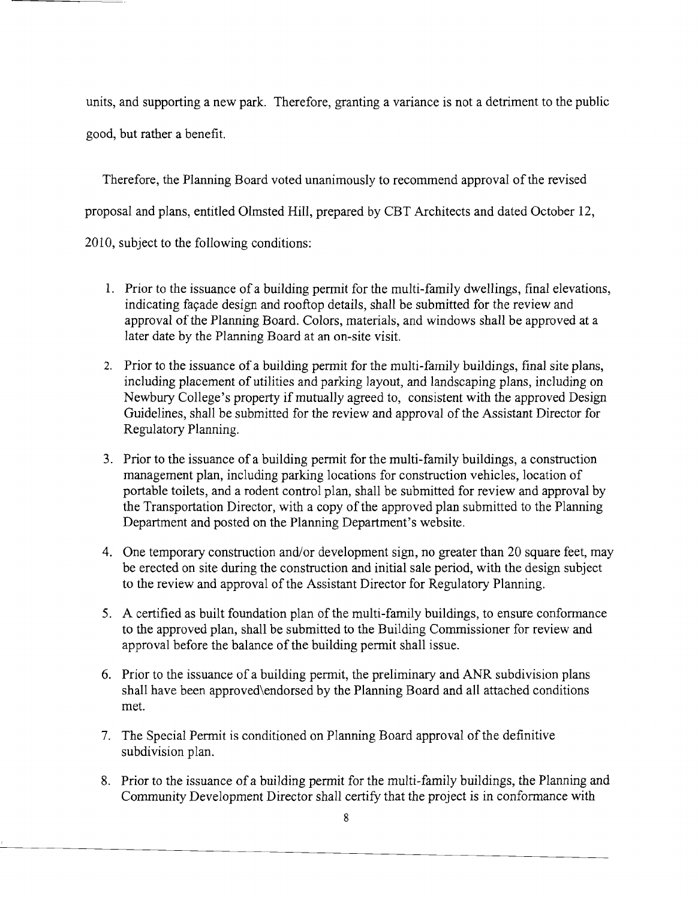units, and supporting a new park. Therefore, granting a variance is not a detriment to the public good, but rather a benefit.

Therefore, the Planning Board voted unanimously to recommend approval ofthe revised proposal and plans, entitled Olmsted Hill, prepared by CBT Architects and dated October 12, 2010, subject to the following conditions:

1. Prior to the issuance of a building permit for the multi-family dwellings, final elevations, indicating façade design and rooftop details, shall be submitted for the review and approval of the Planning Board. Colors, materials, and windows shall be approved at a later date by the Planning Board at an on-site visit.

- 2. Prior to the issuance of a building permit for the multi-family buildings, final site plans, including placement of utilities and parking layout, and landscaping plans, including on Newbury College's property if mutually agreed to, consistent with the approved Design Guidelines, shall be submitted for the review and approval of the Assistant Director for Regulatory Planning.
- 3. Prior to the issuance of a building permit for the multi-family buildings, a construction management plan, including parking locations for construction vehicles, location of portable toilets, and a rodent control plan, shall be submitted for review and approval by the Transportation Director, with a copy of the approved plan submitted to the Planning Department and posted on the Planning Department's website.
- 4. One temporary construction and/or development sign, no greater than 20 square feet, may be erected on site during the construction and initial sale period, with the design subject to the review and approval of the Assistant Director for Regulatory Planning.
- 5. A certified as built foundation plan of the multi-family buildings, to ensure conformance to the approved plan, shall be submitted to the Building Commissioner for review and approval before the balance of the building permit shall issue.
- 6. Prior to the issuance of a building permit, the preliminary and ANR subdivision plans shall have been approved\endorsed by the Planning Board and all attached conditions met.
- 7. The Special Permit is conditioned on Planning Board approval of the definitive subdivision plan.
- 8. Prior to the issuance of a building permit for the multi-family buildings, the Planning and Community Development Director shall certify that the project is in conformance with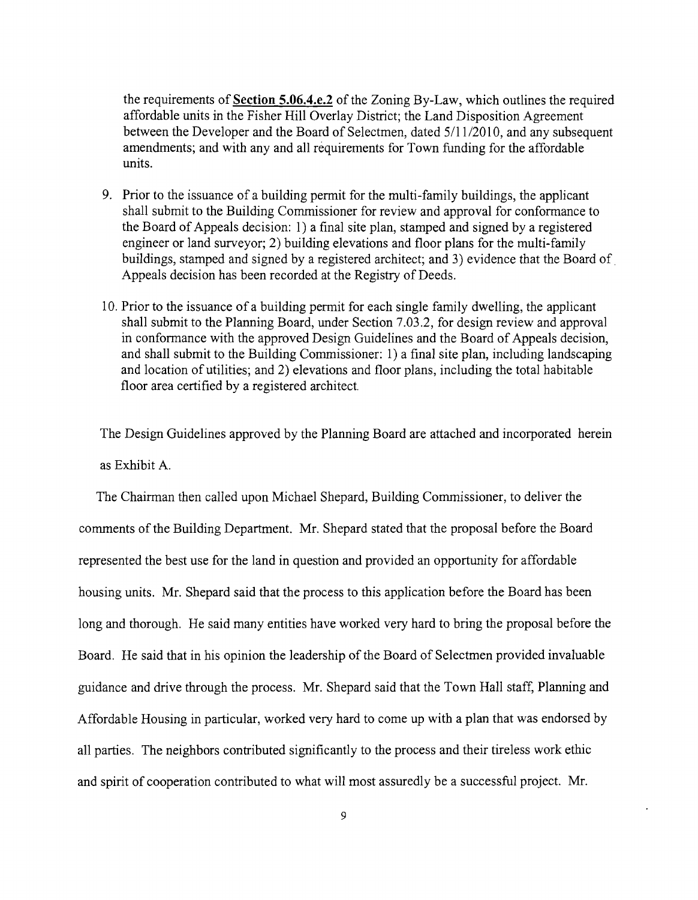the requirements of Section **5.06.4.e.2** of the Zoning By-Law, which outlines the required affordable units in the Fisher Hill Overlay District; the Land Disposition Agreement between the Developer and the Board of Selectmen, dated 5/11/2010, and any subsequent amendments; and with any and all requirements for Town funding for the affordable units.

- 9. Prior to the issuance of a building permit for the multi-family buildings, the applicant shall submit to the Building Commissioner for review and approval for conformance to the Board of Appeals decision: 1) a final site plan, stamped and signed by a registered engineer or land surveyor; 2) building elevations and floor plans for the multi-family buildings, stamped and signed by a registered architect; and 3) evidence that the Board of. Appeals decision has been recorded at the Registry of Deeds.
- 10. Prior to the issuance ofa building permit for each single family dwelling, the applicant shall submit to the Planning Board, under Section 7.03.2, for design review and approval in conformance with the approved Design Guidelines and the Board of Appeals decision, and shall submit to the Building Commissioner: 1) a final site plan, including landscaping and location of utilities; and 2) elevations and floor plans, including the total habitable floor area certified by a registered architect.

The Design Guidelines approved by the Planning Board are attached and incorporated herein as Exhibit A.

The Chairman then called upon Michael Shepard, Building Commissioner, to deliver the comments of the Building Department. Mr. Shepard stated that the proposal before the Board represented the best use for the land in question and provided an opportunity for affordable housing units. Mr. Shepard said that the process to this application before the Board has been long and thorough. He said many entities have worked very hard to bring the proposal before the Board. He said that in his opinion the leadership of the Board of Selectmen provided invaluable guidance and drive through the process. Mr. Shepard said that the Town Hall staff, Planning and Affordable Housing in particular, worked very hard to come up with a plan that was endorsed by all parties. The neighbors contributed significantly to the process and their tireless work ethic and spirit of cooperation contributed to what will most assuredly be a successful project. Mr.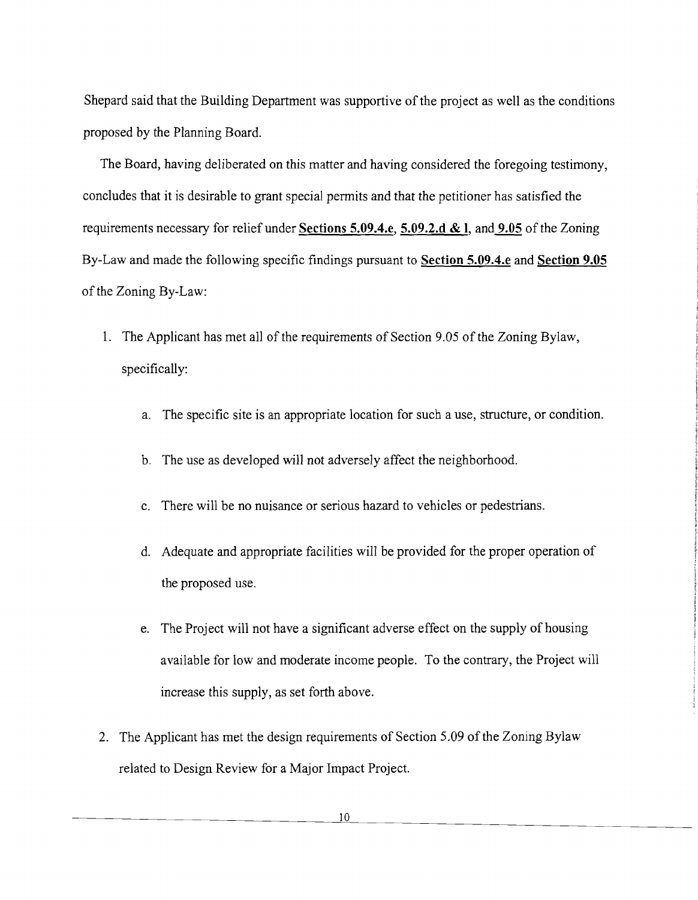Shepard said that the Building Department was supportive of the project as well as the conditions proposed by the Planning Board.

The Board, having deliberated on this matter and having considered the foregoing testimony, concludes that it is desirable to grant special permits and that the petitioner has satisfied the requirements necessary for relief under **Sections 5.09.4.e, 5.09.2.d & I,** and **9.05** of the Zoning By-Law and made the following specific findings pursuant to **Section 5.09.4.e** and **Section 9.05**  of the Zoning By-Law:

- 1. The Applicant has met all of the requirements of Section 9.05 of the Zoning Bylaw, specifically:
	- a. The specific site is an appropriate location for such a use, structure, or condition.
	- b. The use as developed will not adversely affect the neighborhood.
	- c. There will be no nuisance or serious hazard to vehicles or pedestrians.
	- d. Adequate and appropriate facilities will be provided for the proper operation of the proposed use.
	- e. The Project will not have a significant adverse effect on the supply of housing available for low and moderate income people. To the contrary, the Project will increase this supply, as set forth above.
- 2. The Applicant has met the design requirements of Section 5.09 of the Zoning Bylaw related to Design Review for a Major Impact Project.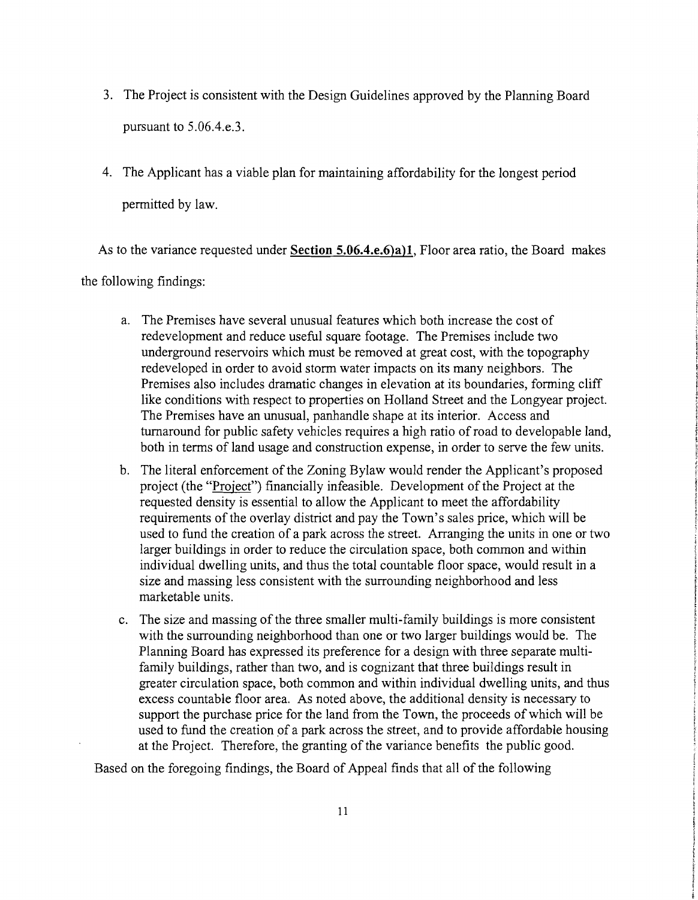- 3. The Project is consistent with the Design Guidelines approved by the Planning Board pursuant to 5.06.4.e.3.
- 4. The Applicant has a viable plan for maintaining affordability for the longest period permitted by law.

As to the variance requested under **Section 5.06.4.e.6)a)l,** Floor area ratio, the Board makes the following findings:

- a. The Premises have several unusual features which both increase the cost of redevelopment and reduce useful square footage. The Premises include two underground reservoirs which must be removed at great cost, with the topography redeveloped in order to avoid storm water impacts on its many neighbors. The Premises also includes dramatic changes in elevation at its boundaries, forming cliff like conditions with respect to properties on Holland Street and the Longyear project. The Premises have an unusual, panhandle shape at its interior. Access and turnaround for public safety vehicles requires a high ratio of road to developable land, both in terms of land usage and construction expense, in order to serve the few units.
- b. The literal enforcement of the Zoning Bylaw would render the Applicant's proposed project (the "Project") financially infeasible. Development of the Project at the requested density is essential to allow the Applicant to meet the affordability requirements of the overlay district and pay the Town's sales price, which will be used to fund the creation of a park across the street. Arranging the units in one or two larger buildings in order to reduce the circulation space, both common and within individual dwelling units, and thus the total countable floor space, would result in a size and massing less consistent with the surrounding neighborhood and less marketable units.
- c. The size and massing of the three smaller multi-family buildings is more consistent with the surrounding neighborhood than one or two larger buildings would be. The Planning Board has expressed its preference for a design with three separate multifamily buildings, rather than two, and is cognizant that three buildings result in greater circulation space, both common and within individual dwelling units, and thus excess countable floor area. As noted above, the additional density is necessary to support the purchase price for the land from the Town, the proceeds of which will be used to fund the creation of a park across the street, and to provide affordable housing at the Project. Therefore, the granting of the variance benefits the public good.

Based on the foregoing findings, the Board of Appeal finds that all of the following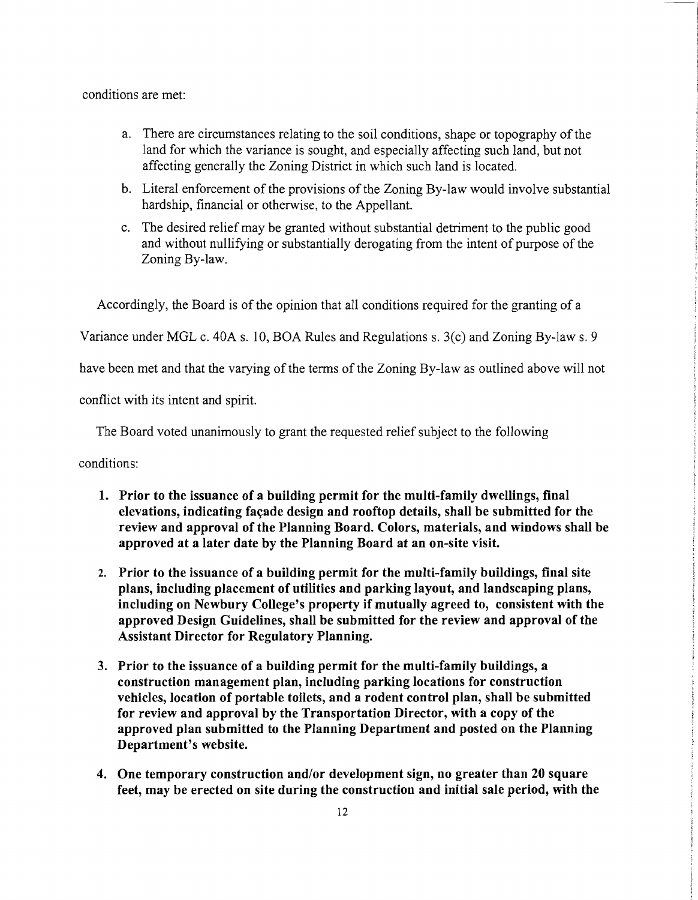conditions are met:

- a. There are circumstances relating to the soil conditions, shape or topography of the land for which the variance is sought, and especially affecting such land, but not affecting generally the Zoning District in which such land is located.
- b. Literal enforcement of the provisions of the Zoning By-law would involve substantial hardship, financial or otherwise, to the Appellant.
- c. The desired relief may be granted without substantial detriment to the public good and without nullifying or substantially derogating from the intent of purpose of the Zoning By-law.

Accordingly, the Board is of the opinion that all conditions required for the granting of a

Variance under MGL c. 40A s. 10, BOA Rules and Regulations s. 3(c) and Zoning By-law s. 9

have been met and that the varying of the terms of the Zoning By-law as outlined above will not

conflict with its intent and spirit.

The Board voted unanimously to grant the requested relief subject to the following

conditions:

- 1. Prior to the issuance of a building permit for the multi-family dwellings, final elevations, indicating façade design and rooftop details, shall be submitted for the review and approval of the Planning Board. Colors, materials, and windows shall be approved at a later date by the Planning Board at an on-site visit.
- 2. Prior to the issuance of a building permit for the multi-family buildings, final site plans, including placement of utilities and parking layout, and landscaping plans, including on Newbury College's property if mutually agreed to, consistent with the approved Design Guidelines, shall be submitted for the review and approval of the Assistant Director for Regulatory Planning.
- 3. Prior to the issuance of a building permit for the multi-family buildings, a construction management plan, including parking locations for construction vehicles, location of portable toilets, and a rodent control plan, shall be submitted for review and approval by the Transportation Director, with a copy of the approved plan submitted to the Planning Department and posted on the Planning Department's website.
- 4. One temporary construction and/or development sign, no greater than 20 square feet, may be erected on site during the construction and initial sale period, with the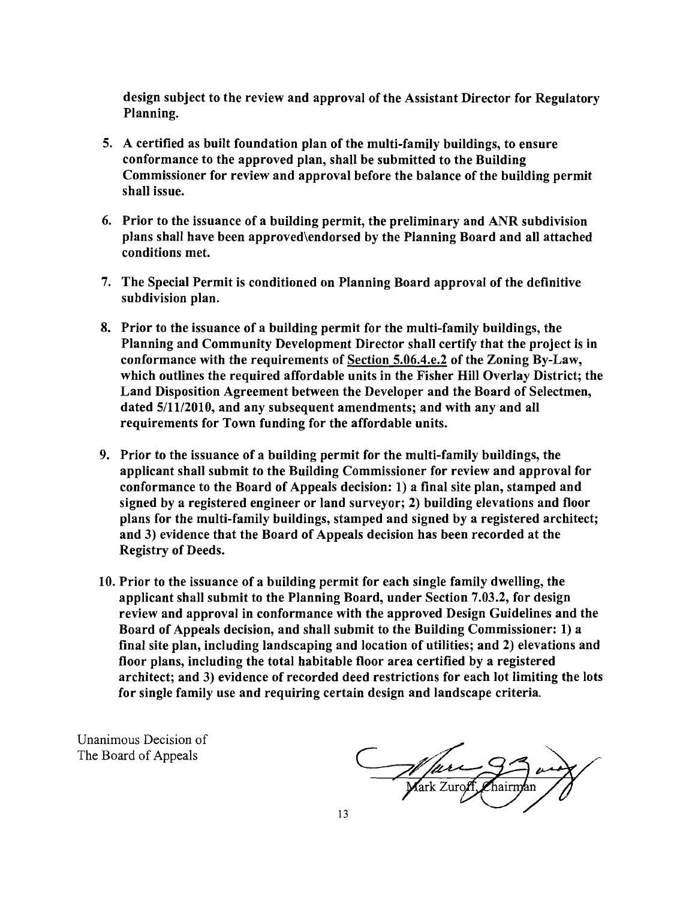design subject to the review and approval of the Assistant Director for Regulatory Planning.

- 5. A certified as built foundation plan of the multi-family buildings, to ensure conformance to the approved plan, shall be submitted to the Building Commissioner for review and approval before the balance of the building permit shall issue.
- 6. Prior to the issuance of a building permit, the preliminary and ANR subdivision plans shall have been approved\endorsed by the Planning Board and all attached conditions met.
- 7. The Special Permit is conditioned on Planning Board approval of the definitive subdivision plan.
- 8. Prior to the issuance of a building permit for the multi-family buildings, the Planning and Community Development Director shall certify that the project is in conformance with the requirements of Section 5.06.4.e.2 of the Zoning By-Law, which outlines the required affordable units in the Fisher Hill Overlay District; the Land Disposition Agreement between the Developer and the Board of Selectmen, dated 5/11/2010, and any subsequent amendments; and with any and all requirements for Town funding for the affordable units.
- 9. Prior to the issuance of a building permit for the multi-family buildings, the applicant shall submit to the Building Commissioner for review and approval for conformance to the Board of Appeals decision: 1) a final site plan, stamped and signed by a registered engineer or land surveyor; 2) building elevations and floor plans for the multi-family buildings, stamped and signed by a registered architect; and 3) evidence that the Board of Appeals decision has been recorded at the Registry of Deeds.
- 10. Prior to the issuance of a building permit for each single family dwelling, the applicant shall submit to the Planning Board, under Section 7.03.2, for design review and approval in conformance with the approved Design Guidelines and the Board of Appeals decision, and shall submit to the Building Commissioner: 1) a final site plan, including landscaping and location of utilities; and 2) elevations and floor plans, including the total habitable floor area certified by a registered architect; and 3) evidence of recorded deed restrictions for each lot limiting the lots for single family use and requiring certain design and landscape criteria.

Unanimous Decision of The Board of Appeals

Marcon Chairman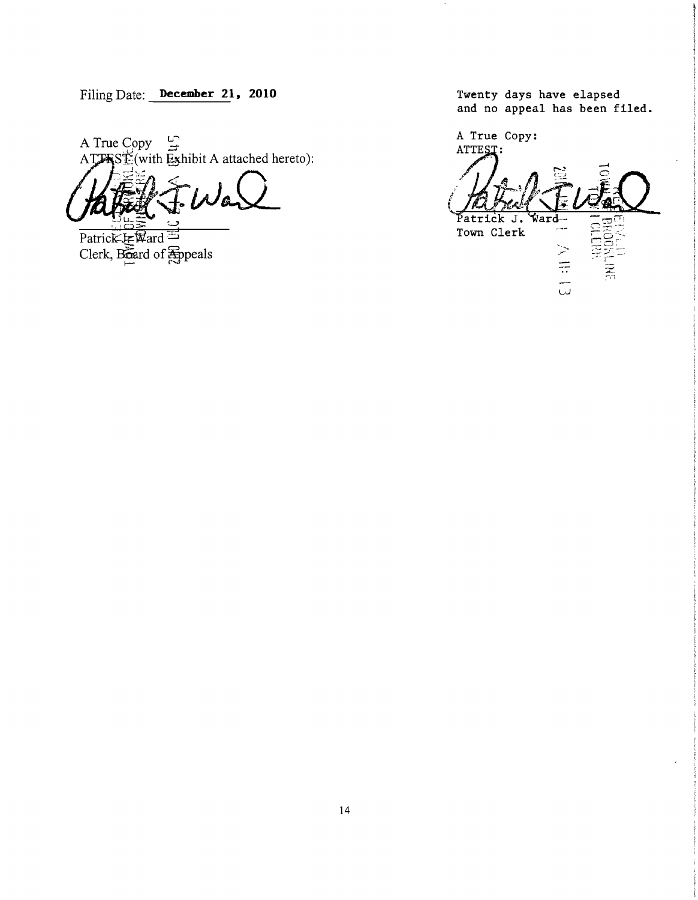Filing Date: December 21, 2010 Twenty days have elapsed

A True Copy  $\frac{5}{4}$  $ATJASE$ (with Exhibit A attached hereto):

Patrick-J-Ward Clerk, Board of Appeals and no appeal has been filed.

 $\overline{\phantom{a}}$ 

A True Copy: ATTEST:  $\int_0^t$ Patrick J. Ward Town Clerk A III 13 , .... -'.- --~  $\tau\subset -$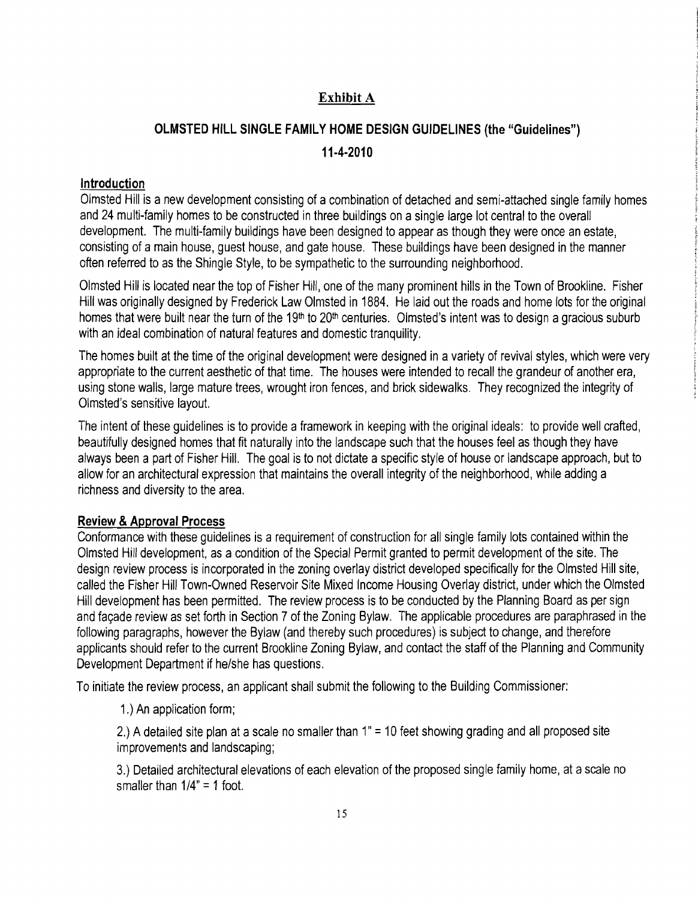# Exhibit A

# OLMSTED HILL SINGLE FAMILY HOME DESIGN GUIDELINES (the "Guidelines") 11·4·2010

#### Introduction

Olmsted Hill is a new development consisting of a combination of detached and semi-attached single family homes and 24 multi-family homes to be constructed in three buildings on a single large lot central to the overall development. The multi-family buildings have been designed to appear as though they were once an estate, consisting of a main house, guest house, and gate house. These buildings have been designed in the manner often referred to as the Shingle Style, to be sympathetic to the surrounding neighborhood.

Olmsted Hill is located near the top of Fisher Hill, one of the many prominent hills in the Town of Brookline. Fisher Hill was originally designed by Frederick Law Olmsted in 1884. He laid out the roads and home lots for the original homes that were built near the turn of the 19<sup>th</sup> to 20<sup>th</sup> centuries. Olmsted's intent was to design a gracious suburb with an ideal combination of natural features and domestic tranquility.

The homes built at the time of the original development were designed in a variety of revival styles, which were very appropriate to the current aesthetic of that time. The houses were intended to recall the grandeur of another era, using stone walls, large mature trees, wrought iron fences, and brick sidewalks. They recognized the integrity of Olmsted's sensitive layout.

The intent of these guidelines is to provide a framework in keeping with the original ideals: to provide well crafted, beautifully designed homes that fit naturally into the landscape such that the houses feel as though they have always been a part of Fisher Hill. The goal is to not dictate a specific style of house or landscape approach, but to allow for an architectural expression that maintains the overall integrity of the neighborhood, while adding a richness and diversity to the area.

#### Review & Approval Process

Conformance with these guidelines is a requirement of construction for all single family lots contained within the Olmsted Hill development, as a condition of the Special Permit granted to permit development of the site. The design review process is incorporated in the zoning overlay district developed specifically for the Olmsted Hill site, called the Fisher Hill Town-Owned Reservoir Site Mixed Income Housing Overlay district, under which the Olmsted Hill development has been permitted. The review process is to be conducted by the Planning Board as per sign and facade review as set forth in Section 7 of the Zoning Bylaw. The applicable procedures are paraphrased in the following paragraphs, however the Bylaw (and thereby such procedures) is subject to change, and therefore applicants should refer to the current Brookline Zoning Bylaw, and contact the staff of the Planning and Community Development Department if he/she has questions.

To initiate the review process, an applicant shall submit the following to the Building Commissioner:

1.) An application form;

2.) A detailed site plan at a scale no smaller than 1" = 10 feet showing grading and all proposed site improvements and landscaping;

3.) Detailed architectural elevations of each elevation of the proposed single family home, at ascale no smaller than  $1/4" = 1$  foot.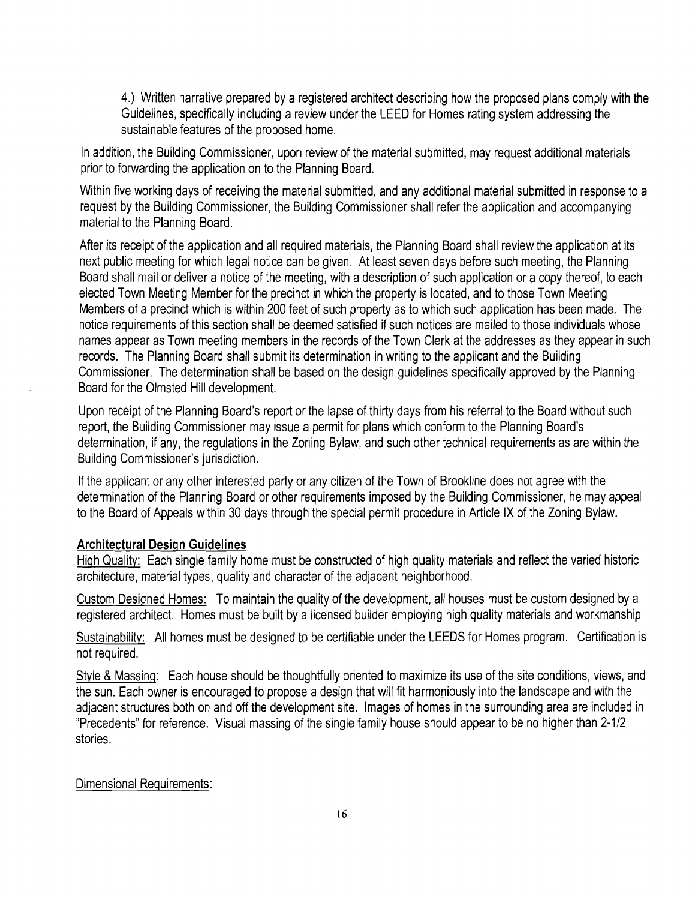4.) Written narrative prepared by a registered architect describing how the proposed plans comply with the Guidelines, specifically including a review under the LEED for Homes rating system addressing the sustainable features of the proposed home.

In addition, the Building Commissioner, upon review of the material submitted, may request additional materials prior to forwarding the application on to the Planning Board.

Within five working days of receiving the material submitted, and any additional material submitted in response to a request by the Building Commissioner, the Building Commissioner shall refer the application and accompanying material to the Planning Board.

After its receipt of the application and all required materials, the Planning Board shall review the application at its next public meeting for which legal notice can be given. At least seven days before such meeting, the Planning Board shall mail or deliver a notice of the meeting, with a description of such application or a copy thereof, to each elected Town Meeting Member for the precinct in which the property is located, and to those Town Meeting Members of a precinct which is within 200 feet of such property as to which such application has been made. The notice requirements of this section shall be deemed satisfied if such notices are mailed to those individuals whose names appear as Town meeting members in the records of the Town Clerk at the addresses as they appear in such records. The Planning Board shall submit its determination in writing to the applicant and the Building Commissioner. The determination shall be based on the design guidelines specifically approved by the Planning Board for the Olmsted Hill development.

Upon receipt of the Planning Board's report or the lapse of thirty days from his referral to the Board without such report, the Building Commissioner may issue a permit for plans which conform to the Planning Board's determination, if any, the regulations in the Zoning Bylaw, and such other technical requirements as are within the Building Commissioner's jurisdiction.

If the applicant or any other interested party or any citizen of the Town of Brookline does not agree with the determination of the Planning Board or other requirements imposed by the Building Commissioner, he may appeal to the Board of Appeals within 30 days through the special permit procedure in Article IX of the Zoning Bylaw.

#### **Architectural Design Guidelines**

High Quality: Each single family home must be constructed of high quality materials and reflect the varied historic architecture, material types, quality and character of the adjacent neighborhood.

Custom Designed Homes: To maintain the quality of the development, all houses must be custom designed by a registered architect. Homes must be built by a licensed builder employing high quality materials and workmanship

Sustainability: All homes must be designed to be certifiable under the LEEDS for Homes program. Certification is not required.

Style & Massing: Each house should be thoughtfully oriented to maximize its use of the site conditions, views, and the sun. Each owner is encouraged to propose a design that will fit harmoniously into the landscape and with the adjacent structures both on and off the development site. Images of homes in the surrounding area are included in "Precedents" for reference. Visual massing of the single family house should appear to be no higher than 2-1/2 stories.

#### Dimensional Requirements: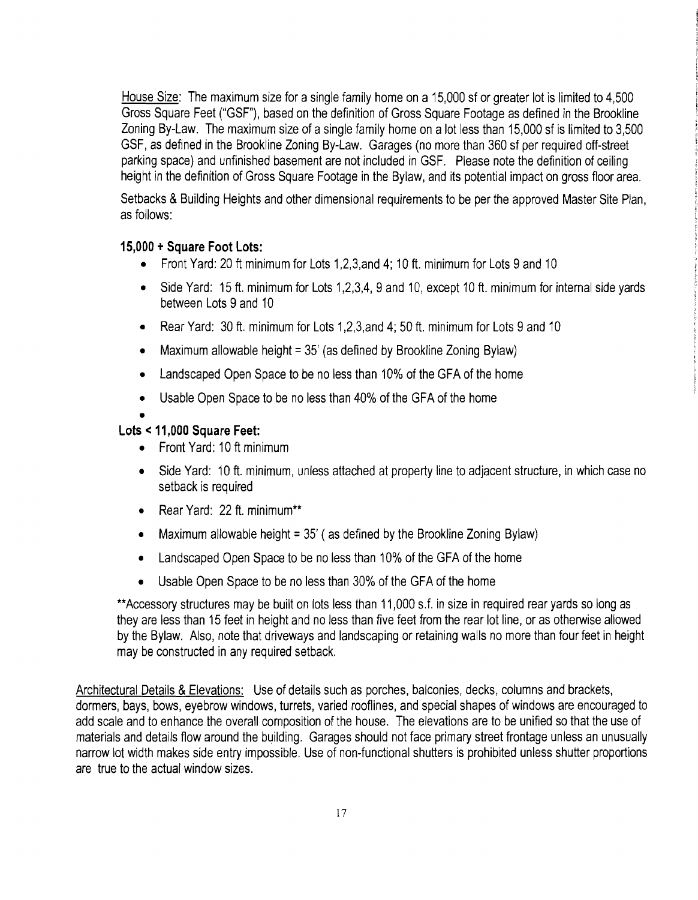House Size: The maximum size for a single family home on a 15,000 sf or greater lot is limited to 4,500 Gross Square Feet ("GSF"), based on the definition of Gross Square Footage as defined in the Brookline Zoning By-Law. The maximum size of a single family home on a lot less than 15,000 sf is limited to 3,500 GSF, as defined in the Brookline Zoning By-Law. Garages (no more than 360 sf per required off-street parking space) and unfinished basement are not included in GSF. Please note the definition of ceiling height in the definition of Gross Square Footage in the Bylaw, and its potential impact on gross floor area.

Setbacks & Building Heights and other dimensional requirements to be per the approved Master Site Plan, as follows:

#### **15,000 + Square Foot Lots:**

- Front Yard: 20 ft minimum for Lots 1, 2, 3, and 4; 10 ft. minimum for Lots 9 and 10
- Side Yard: 15 ft. minimum for Lots 1,2,3,4, 9 and 10, except 10 ft. minimum for internal side yards between Lots 9 and 10
- Rear Yard: 30 ft. minimum for Lots 1,2,3,and 4; 50 ft. minimum for Lots 9 and 10
- Maximum allowable height =  $35'$  (as defined by Brookline Zoning Bylaw)
- Landscaped Open Space to be no less than 10% of the GFA of the home
- Usable Open Space to be no less than 40% of the GFA of the home

#### • **Lots < 11,000 Square Feet:**

- Front Yard: 10 ft minimum
- Side Yard: 10 ft. minimum, unless attached at property line to adjacent structure, in which case no setback is required
- Rear Yard: 22 ft. minimum\*\*
- Maximum allowable height =  $35'$  ( as defined by the Brookline Zoning Bylaw)
- Landscaped Open Space to be no less than 10% of the GFA of the home
- Usable Open Space to be no less than 30% of the GFA of the home

\*\*Accessory structures may be built on lots less than 11,000 s.f. in size in required rear yards so long as they are less than 15 feet in height and no less than five feet from the rear lot line, or as otherwise allowed by the Bylaw. Also, note that driveways and landscaping or retaining walls no more than four feet in height may be constructed in any required setback.

Architectural Details & Elevations: Use of details such as porches, balconies, decks, columns and brackets, dormers, bays, bows, eyebrow windows, turrets, varied rooflines, and special shapes of windows are encouraged to add scale and to enhance the overall composition of the house. The elevations are to be unified so that the use of materials and details flow around the building. Garages should not face primary street frontage unless an unusually narrow lot width makes side entry impossible. Use of non-functional shutters is prohibited unless shutter proportions are true to the actual window sizes.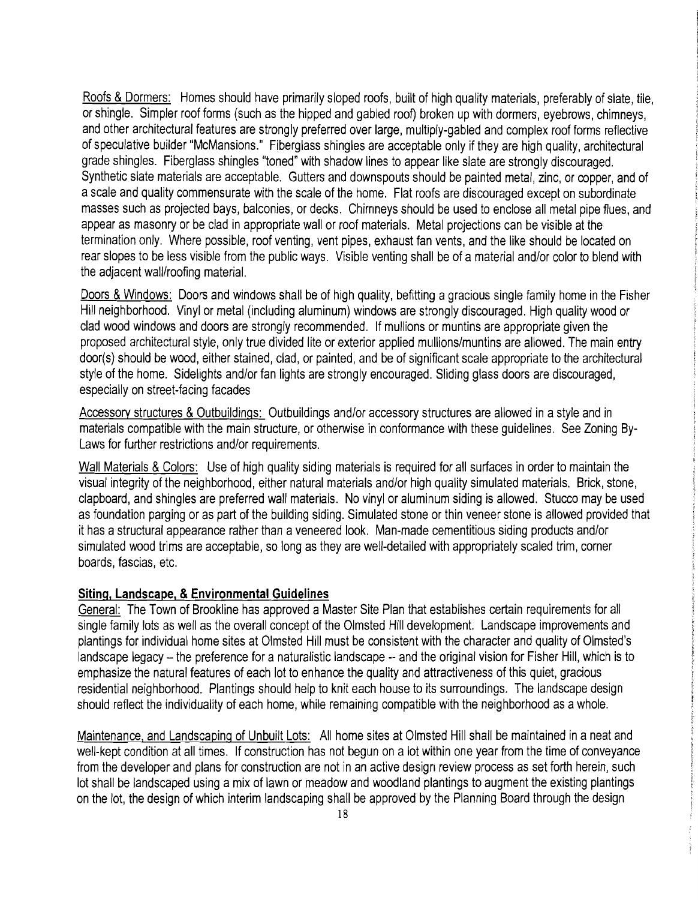Roofs & Dormers: Homes should have primarily sloped roofs, built of high quality materials, preferably of slate, tile, or shingle. Simpler roof forms (such as the hipped and gabled roof) broken up with dormers, evebrows, chimneys, and other architectural features are strongly preferred over large, multiply-gabled and complex roof forms reflective of speculative builder "McMansions." Fiberglass shingles are acceptable only if they are high quality, architectural grade shingles. Fiberglass shingles "toned" with shadow lines to appear like slate are strongly discouraged. Synthetic slate materials are acceptable. Gutters and downspouts should be painted metal, zinc, or copper, and of ascale and quality commensurate with the scale of the home. Flat roofs are discouraged except on subordinate masses such as projected bays, balconies, or decks. Chimneys should be used to enclose all metal pipe fiues, and appear as masonry or be clad in appropriate wall or roof materials. Metal projections can be visible at the termination only. Where possible, roof venting, vent pipes, exhaust fan vents, and the like should be located on rear slopes to be less visible from the public ways. Visible venting shall be of a material and/or color to blend with the adjacent wall/roofing material.

Doors & Windows: Doors and windows shall be of high quality, befitting a gracious single family home in the Fisher Hill neighborhood. Vinyl or metal (including aluminum) windows are strongly discouraged. High quality wood or clad wood windows and doors are strongly recommended. If mullions or muntins are appropriate given the proposed architectural style, only true divided lite or exterior applied mullions/muntins are allowed. The main entry door(s) should be wood, either stained, clad, or painted, and be of significant scale appropriate to the architectural style of the home. Sidelights and/or fan lights are strongly encouraged. Sliding glass doors are discouraged, especially on street-facing facades

Accessory structures & Outbuildings: Outbuildings and/or accessory structures are allowed in a style and in materials compatible with the main structure, or otherwise in conformance with these guidelines. See Zoning By-Laws for further restrictions and/or requirements.

Wall Materials & Colors: Use of high quality siding materials is required for all surfaces in order to maintain the visual integrity of the neighborhood, either natural materials and/or high quality simulated materials. Brick, stone, clapboard, and shingles are preferred wall materials. No vinyl or aluminum siding is allowed. Stucco may be used as foundation parging or as part of the building siding. Simulated stone or thin veneer stone is allowed provided that it has astructural appearance rather than aveneered look. Man-made cementitious siding products and/or simulated wood trims are acceptable, so long as they are well-detailed with appropriately scaled trim, corner boards, fascias, etc.

#### **Siting, Landscape, &Environmental Guidelines**

General: The Town of Brookline has approved a Master Site Plan that establishes certain requirements for all single family lots as well as the overall concept of the Olmsted Hill development. Landscape improvements and plantings for individual home sites at Olmsted Hill must be consistent with the character and quality of Olmsted's landscape legacy - the preference for a naturalistic landscape -- and the original vision for Fisher Hill, which is to emphasize the natural features of each lot to enhance the quality and attractiveness of this quiet, gracious residential neighborhood. Plantings should help to knit each house to its surroundings. The landscape design should reflect the individuality of each home, while remaining compatible with the neighborhood as awhole.

Maintenance, and Landscaping of Unbuilt Lots: All home sites at Olmsted Hill shall be maintained in a neat and well-kept condition at all times. If construction has not begun on a lot within one year from the time of conveyance from the developer and plans for construction are not in an active design review process as set forth herein, such lot shall be landscaped using a mix of lawn or meadow and woodland plantings to augment the existing plantings on the lot, the design of which interim landscaping shall be approved by the Planning Board through the design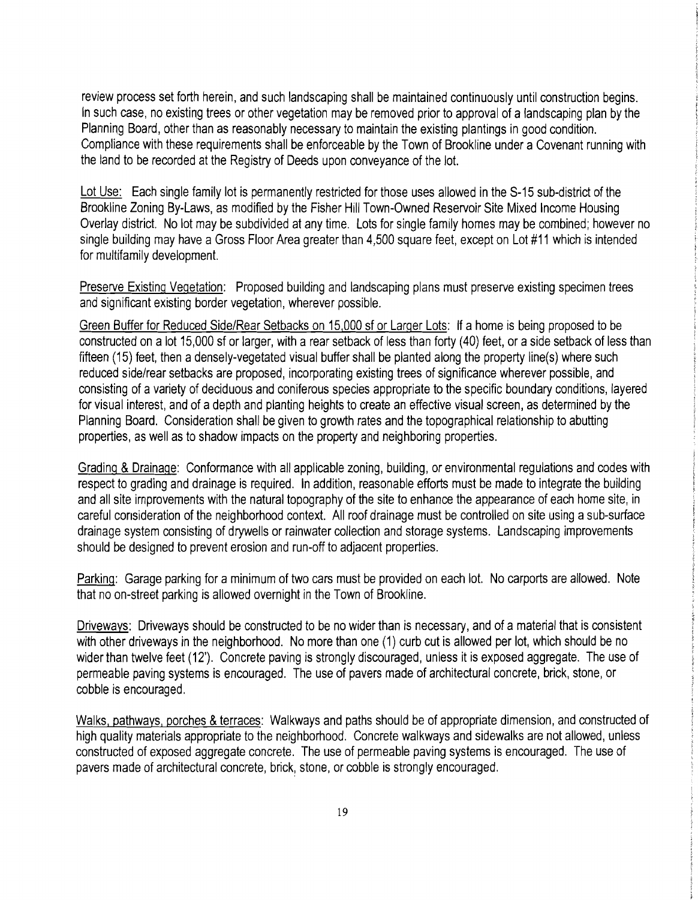review process set forth herein, and such landscaping shall be maintained continuously until construction begins. In such case, no existing trees or other vegetation may be removed prior to approval of a landscaping plan by the Planning Board, other than as reasonably necessary to maintain the existing plantings in good condition. Compliance with these requirements shall be enforceable by the Town of Brookline under a Covenant running with the land to be recorded at the Registry of Deeds upon conveyance of the lot.

Lot Use: Each single family lot is permanently restricted for those uses allowed in the S-15 sub-district of the Brookline Zoning By-Laws, as modified by the Fisher Hill Town-Owned Reservoir Site Mixed Income Housing Overlay district. No lot may be subdivided at any time. Lots for single family homes may be combined; however no single building may have a Gross Floor Area greater than 4,500 square feet, except on Lot #11 which is intended for multifamily development.

Preserve Existing Vegetation: Proposed building and landscaping plans must preserve existing specimen trees and significant existing border vegetation, wherever possible.

Green Buffer for Reduced Side/Rear Setbacks on 15,000 sf or Larger Lots: If a home is being proposed to be constructed on a lot 15,000 sf or larger, with a rear setback of less than forty (40) feet, or a side setback of less than fifteen (15) feet, then a densely-vegetated visual buffer shall be planted along the property line(s) where such reduced side/rear setbacks are proposed, incorporating existing trees of significance wherever possible, and consisting of a variety of deciduous and coniferous species appropriate to the specific boundary conditions, layered for visual interest, and of a depth and planting heights to create an effective visual screen, as determined by the Planning Board. Consideration shall be given to growth rates and the topographical relationship to abutting properties, as well as to shadow impacts on the property and neighboring properties.

Grading & Drainage: Conformance with all applicable zoning, building, or environmental regulations and codes with respect to grading and drainage is required. In addition, reasonable efforts must be made to integrate the building and all site irnprovements with the natural topography of the site to enhance the appearance of each home site, in careful consideration of the neighborhood context. All roof drainage must be controlled on site using a sub-surface drainage system consisting of drywells or rainwater collection and storage systems. Landscaping improvements should be designed to prevent erosion and run-off to adjacent properties.

Parking: Garage parking for a minimum of two cars must be provided on each lot. No carports are allowed. Note that no on-street parking is allowed overnight in the Town of Brookline.

Driveways: Driveways should be constructed to be no wider than is necessary, and of a material that is consistent with other driveways in the neighborhood. No more than one (1) curb cut is allowed per lot, which should be no wider than twelve feet (12'). Concrete paving is strongly discouraged, unless it is exposed aggregate. The use of permeable paving systems is encouraged. The use of pavers made of architectural concrete, brick, stone, or cobble is encouraged.

Walks, pathways, porches & terraces: Walkways and paths should be of appropriate dimension, and constructed of high quality materials appropriate to the neighborhood. Concrete walkways and sidewalks are not allowed, unless constructed of exposed aggregate concrete. The use of permeable paving systems is encouraged. The use of pavers made of architectural concrete, brick, stone, or cobble is strongly encouraged.